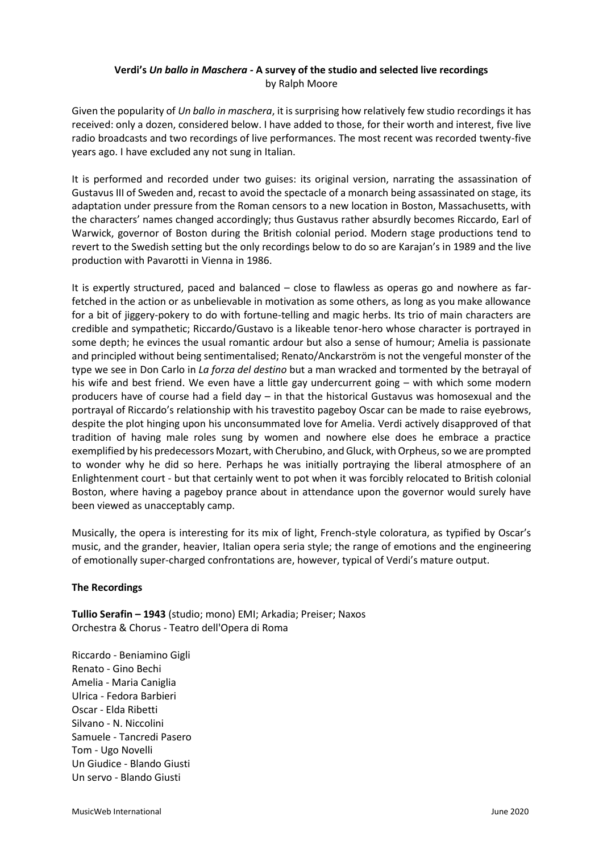# **Verdi's** *Un ballo in Maschera -* **A survey of the studio and selected live recordings** by Ralph Moore

Given the popularity of *Un ballo in maschera*, it is surprising how relatively few studio recordings it has received: only a dozen, considered below. I have added to those, for their worth and interest, five live radio broadcasts and two recordings of live performances. The most recent was recorded twenty-five years ago. I have excluded any not sung in Italian.

It is performed and recorded under two guises: its original version, narrating the assassination of Gustavus III of Sweden and, recast to avoid the spectacle of a monarch being assassinated on stage, its adaptation under pressure from the Roman censors to a new location in Boston, Massachusetts, with the characters' names changed accordingly; thus Gustavus rather absurdly becomes Riccardo, Earl of Warwick, governor of Boston during the British colonial period. Modern stage productions tend to revert to the Swedish setting but the only recordings below to do so are Karajan's in 1989 and the live production with Pavarotti in Vienna in 1986.

It is expertly structured, paced and balanced – close to flawless as operas go and nowhere as farfetched in the action or as unbelievable in motivation as some others, as long as you make allowance for a bit of jiggery-pokery to do with fortune-telling and magic herbs. Its trio of main characters are credible and sympathetic; Riccardo/Gustavo is a likeable tenor-hero whose character is portrayed in some depth; he evinces the usual romantic ardour but also a sense of humour; Amelia is passionate and principled without being sentimentalised; Renato/Anckarström is not the vengeful monster of the type we see in Don Carlo in *La forza del destino* but a man wracked and tormented by the betrayal of his wife and best friend. We even have a little gay undercurrent going – with which some modern producers have of course had a field day – in that the historical Gustavus was homosexual and the portrayal of Riccardo's relationship with his travestito pageboy Oscar can be made to raise eyebrows, despite the plot hinging upon his unconsummated love for Amelia. Verdi actively disapproved of that tradition of having male roles sung by women and nowhere else does he embrace a practice exemplified by his predecessors Mozart, with Cherubino, and Gluck, with Orpheus, so we are prompted to wonder why he did so here. Perhaps he was initially portraying the liberal atmosphere of an Enlightenment court - but that certainly went to pot when it was forcibly relocated to British colonial Boston, where having a pageboy prance about in attendance upon the governor would surely have been viewed as unacceptably camp.

Musically, the opera is interesting for its mix of light, French-style coloratura, as typified by Oscar's music, and the grander, heavier, Italian opera seria style; the range of emotions and the engineering of emotionally super-charged confrontations are, however, typical of Verdi's mature output.

# **The Recordings**

**Tullio Serafin – 1943** (studio; mono) EMI; Arkadia; Preiser; Naxos Orchestra & Chorus - Teatro dell'Opera di Roma

Riccardo - Beniamino Gigli Renato - Gino Bechi Amelia - Maria Caniglia Ulrica - Fedora Barbieri Oscar - Elda Ribetti Silvano - N. Niccolini Samuele - Tancredi Pasero Tom - Ugo Novelli Un Giudice - Blando Giusti Un servo - Blando Giusti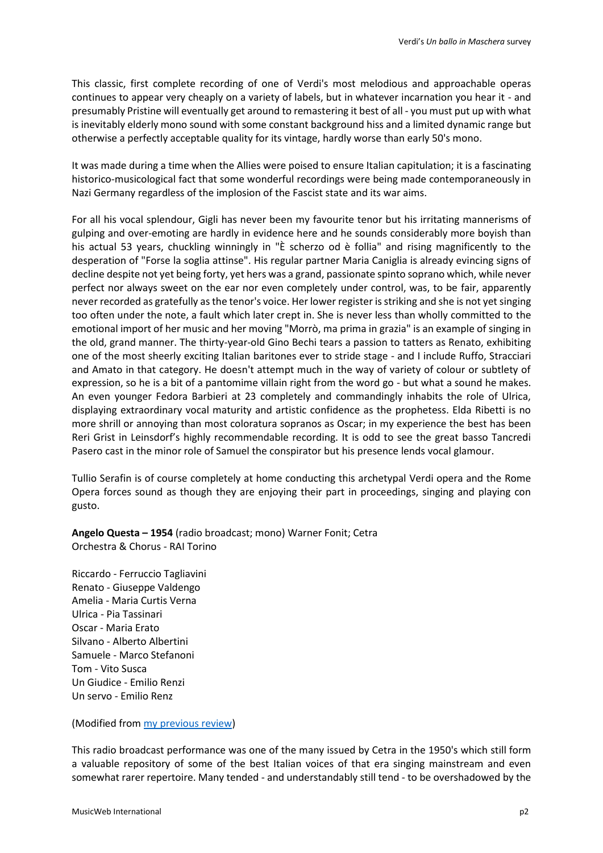This classic, first complete recording of one of Verdi's most melodious and approachable operas continues to appear very cheaply on a variety of labels, but in whatever incarnation you hear it - and presumably Pristine will eventually get around to remastering it best of all - you must put up with what is inevitably elderly mono sound with some constant background hiss and a limited dynamic range but otherwise a perfectly acceptable quality for its vintage, hardly worse than early 50's mono.

It was made during a time when the Allies were poised to ensure Italian capitulation; it is a fascinating historico-musicological fact that some wonderful recordings were being made contemporaneously in Nazi Germany regardless of the implosion of the Fascist state and its war aims.

For all his vocal splendour, Gigli has never been my favourite tenor but his irritating mannerisms of gulping and over-emoting are hardly in evidence here and he sounds considerably more boyish than his actual 53 years, chuckling winningly in "È scherzo od è follia" and rising magnificently to the desperation of "Forse la soglia attinse". His regular partner Maria Caniglia is already evincing signs of decline despite not yet being forty, yet hers was a grand, passionate spinto soprano which, while never perfect nor always sweet on the ear nor even completely under control, was, to be fair, apparently never recorded as gratefully as the tenor's voice. Her lower register is striking and she is not yet singing too often under the note, a fault which later crept in. She is never less than wholly committed to the emotional import of her music and her moving "Morrò, ma prima in grazia" is an example of singing in the old, grand manner. The thirty-year-old Gino Bechi tears a passion to tatters as Renato, exhibiting one of the most sheerly exciting Italian baritones ever to stride stage - and I include Ruffo, Stracciari and Amato in that category. He doesn't attempt much in the way of variety of colour or subtlety of expression, so he is a bit of a pantomime villain right from the word go - but what a sound he makes. An even younger Fedora Barbieri at 23 completely and commandingly inhabits the role of Ulrica, displaying extraordinary vocal maturity and artistic confidence as the prophetess. Elda Ribetti is no more shrill or annoying than most coloratura sopranos as Oscar; in my experience the best has been Reri Grist in Leinsdorf's highly recommendable recording. It is odd to see the great basso Tancredi Pasero cast in the minor role of Samuel the conspirator but his presence lends vocal glamour.

Tullio Serafin is of course completely at home conducting this archetypal Verdi opera and the Rome Opera forces sound as though they are enjoying their part in proceedings, singing and playing con gusto.

**Angelo Questa – 1954** (radio broadcast; mono) Warner Fonit; Cetra Orchestra & Chorus - RAI Torino

Riccardo - Ferruccio Tagliavini Renato - Giuseppe Valdengo Amelia - Maria Curtis Verna Ulrica - Pia Tassinari Oscar - Maria Erato Silvano - Alberto Albertini Samuele - Marco Stefanoni Tom - Vito Susca Un Giudice - Emilio Renzi Un servo - Emilio Renz

(Modified from my [previous review\)](http://www.musicweb-international.com/classrev/2012/Oct12/Verdi_Ballo_2564661439.htm)

This radio broadcast performance was one of the many issued by Cetra in the 1950's which still form a valuable repository of some of the best Italian voices of that era singing mainstream and even somewhat rarer repertoire. Many tended - and understandably still tend - to be overshadowed by the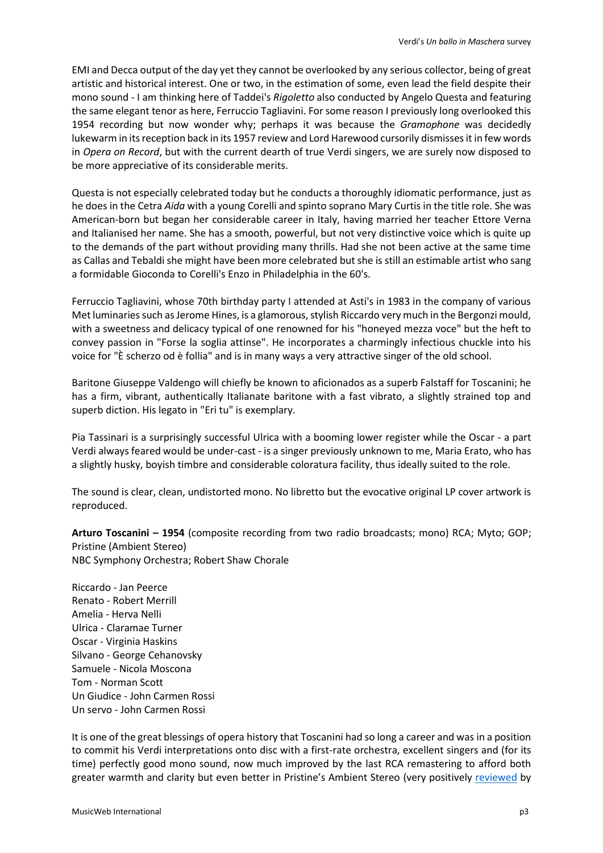EMI and Decca output of the day yet they cannot be overlooked by any serious collector, being of great artistic and historical interest. One or two, in the estimation of some, even lead the field despite their mono sound - I am thinking here of Taddei's *Rigoletto* also conducted by Angelo Questa and featuring the same elegant tenor as here, Ferruccio Tagliavini. For some reason I previously long overlooked this 1954 recording but now wonder why; perhaps it was because the *Gramophone* was decidedly lukewarm in its reception back in its 1957 review and Lord Harewood cursorily dismisses it in few words in *Opera on Record*, but with the current dearth of true Verdi singers, we are surely now disposed to be more appreciative of its considerable merits.

Questa is not especially celebrated today but he conducts a thoroughly idiomatic performance, just as he does in the Cetra *Aida* with a young Corelli and spinto soprano Mary Curtis in the title role. She was American-born but began her considerable career in Italy, having married her teacher Ettore Verna and Italianised her name. She has a smooth, powerful, but not very distinctive voice which is quite up to the demands of the part without providing many thrills. Had she not been active at the same time as Callas and Tebaldi she might have been more celebrated but she is still an estimable artist who sang a formidable Gioconda to Corelli's Enzo in Philadelphia in the 60's.

Ferruccio Tagliavini, whose 70th birthday party I attended at Asti's in 1983 in the company of various Met luminaries such as Jerome Hines, is a glamorous, stylish Riccardo very much in the Bergonzi mould, with a sweetness and delicacy typical of one renowned for his "honeyed mezza voce" but the heft to convey passion in "Forse la soglia attinse". He incorporates a charmingly infectious chuckle into his voice for "È scherzo od è follia" and is in many ways a very attractive singer of the old school.

Baritone Giuseppe Valdengo will chiefly be known to aficionados as a superb Falstaff for Toscanini; he has a firm, vibrant, authentically Italianate baritone with a fast vibrato, a slightly strained top and superb diction. His legato in "Eri tu" is exemplary.

Pia Tassinari is a surprisingly successful Ulrica with a booming lower register while the Oscar - a part Verdi always feared would be under-cast - is a singer previously unknown to me, Maria Erato, who has a slightly husky, boyish timbre and considerable coloratura facility, thus ideally suited to the role.

The sound is clear, clean, undistorted mono. No libretto but the evocative original LP cover artwork is reproduced.

**Arturo Toscanini – 1954** (composite recording from two radio broadcasts; mono) RCA; Myto; GOP; Pristine (Ambient Stereo) NBC Symphony Orchestra; Robert Shaw Chorale

Riccardo - Jan Peerce Renato - Robert Merrill Amelia - Herva Nelli Ulrica - Claramae Turner Oscar - Virginia Haskins Silvano - George Cehanovsky Samuele - Nicola Moscona Tom - Norman Scott Un Giudice - John Carmen Rossi Un servo - John Carmen Rossi

It is one of the great blessings of opera history that Toscanini had so long a career and was in a position to commit his Verdi interpretations onto disc with a first-rate orchestra, excellent singers and (for its time) perfectly good mono sound, now much improved by the last RCA remastering to afford both greater warmth and clarity but even better in Pristine's Ambient Stereo (very positively [reviewed](http://www.musicweb-international.com/classrev/2009/Oct09/Toscanini_Ballo_paco032.htm) by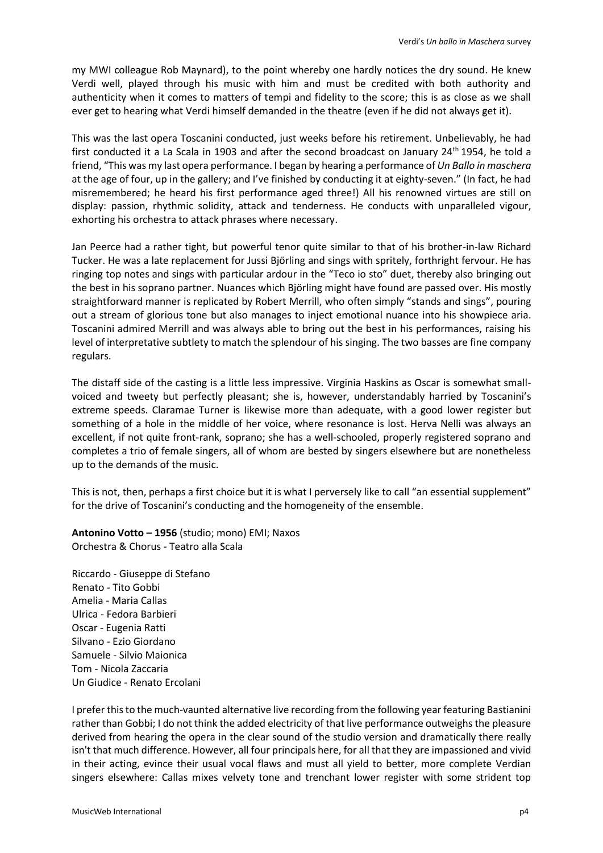my MWI colleague Rob Maynard), to the point whereby one hardly notices the dry sound. He knew Verdi well, played through his music with him and must be credited with both authority and authenticity when it comes to matters of tempi and fidelity to the score; this is as close as we shall ever get to hearing what Verdi himself demanded in the theatre (even if he did not always get it).

This was the last opera Toscanini conducted, just weeks before his retirement. Unbelievably, he had first conducted it a La Scala in 1903 and after the second broadcast on January 24<sup>th</sup> 1954, he told a friend, "This was my last opera performance. I began by hearing a performance of *Un Ballo in maschera*  at the age of four, up in the gallery; and I've finished by conducting it at eighty-seven." (In fact, he had misremembered; he heard his first performance aged three!) All his renowned virtues are still on display: passion, rhythmic solidity, attack and tenderness. He conducts with unparalleled vigour, exhorting his orchestra to attack phrases where necessary.

Jan Peerce had a rather tight, but powerful tenor quite similar to that of his brother-in-law Richard Tucker. He was a late replacement for Jussi Björling and sings with spritely, forthright fervour. He has ringing top notes and sings with particular ardour in the "Teco io sto" duet, thereby also bringing out the best in his soprano partner. Nuances which Björling might have found are passed over. His mostly straightforward manner is replicated by Robert Merrill, who often simply "stands and sings", pouring out a stream of glorious tone but also manages to inject emotional nuance into his showpiece aria. Toscanini admired Merrill and was always able to bring out the best in his performances, raising his level of interpretative subtlety to match the splendour of his singing. The two basses are fine company regulars.

The distaff side of the casting is a little less impressive. Virginia Haskins as Oscar is somewhat smallvoiced and tweety but perfectly pleasant; she is, however, understandably harried by Toscanini's extreme speeds. Claramae Turner is Iikewise more than adequate, with a good lower register but something of a hole in the middle of her voice, where resonance is lost. Herva Nelli was always an excellent, if not quite front-rank, soprano; she has a well-schooled, properly registered soprano and completes a trio of female singers, all of whom are bested by singers elsewhere but are nonetheless up to the demands of the music.

This is not, then, perhaps a first choice but it is what I perversely like to call "an essential supplement" for the drive of Toscanini's conducting and the homogeneity of the ensemble.

**Antonino Votto – 1956** (studio; mono) EMI; Naxos Orchestra & Chorus - Teatro alla Scala

Riccardo - Giuseppe di Stefano Renato - Tito Gobbi Amelia - Maria Callas Ulrica - Fedora Barbieri Oscar - Eugenia Ratti Silvano - Ezio Giordano Samuele - Silvio Maionica Tom - Nicola Zaccaria Un Giudice - Renato Ercolani

I prefer this to the much-vaunted alternative live recording from the following year featuring Bastianini rather than Gobbi; I do not think the added electricity of that live performance outweighs the pleasure derived from hearing the opera in the clear sound of the studio version and dramatically there really isn't that much difference. However, all four principals here, for all that they are impassioned and vivid in their acting, evince their usual vocal flaws and must all yield to better, more complete Verdian singers elsewhere: Callas mixes velvety tone and trenchant lower register with some strident top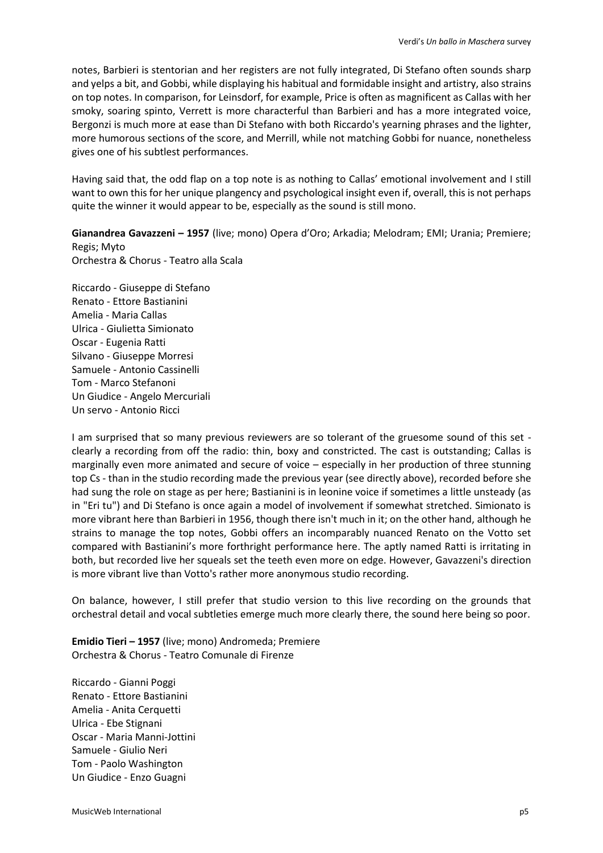notes, Barbieri is stentorian and her registers are not fully integrated, Di Stefano often sounds sharp and yelps a bit, and Gobbi, while displaying his habitual and formidable insight and artistry, also strains on top notes. In comparison, for Leinsdorf, for example, Price is often as magnificent as Callas with her smoky, soaring spinto, Verrett is more characterful than Barbieri and has a more integrated voice, Bergonzi is much more at ease than Di Stefano with both Riccardo's yearning phrases and the lighter, more humorous sections of the score, and Merrill, while not matching Gobbi for nuance, nonetheless gives one of his subtlest performances.

Having said that, the odd flap on a top note is as nothing to Callas' emotional involvement and I still want to own this for her unique plangency and psychological insight even if, overall, this is not perhaps quite the winner it would appear to be, especially as the sound is still mono.

**Gianandrea Gavazzeni – 1957** (live; mono) Opera d'Oro; Arkadia; Melodram; EMI; Urania; Premiere; Regis; Myto Orchestra & Chorus - Teatro alla Scala

Riccardo - Giuseppe di Stefano Renato - Ettore Bastianini Amelia - Maria Callas Ulrica - Giulietta Simionato Oscar - Eugenia Ratti Silvano - Giuseppe Morresi Samuele - Antonio Cassinelli Tom - Marco Stefanoni Un Giudice - Angelo Mercuriali Un servo - Antonio Ricci

I am surprised that so many previous reviewers are so tolerant of the gruesome sound of this set clearly a recording from off the radio: thin, boxy and constricted. The cast is outstanding; Callas is marginally even more animated and secure of voice – especially in her production of three stunning top Cs - than in the studio recording made the previous year (see directly above), recorded before she had sung the role on stage as per here; Bastianini is in leonine voice if sometimes a little unsteady (as in "Eri tu") and Di Stefano is once again a model of involvement if somewhat stretched. Simionato is more vibrant here than Barbieri in 1956, though there isn't much in it; on the other hand, although he strains to manage the top notes, Gobbi offers an incomparably nuanced Renato on the Votto set compared with Bastianini's more forthright performance here. The aptly named Ratti is irritating in both, but recorded live her squeals set the teeth even more on edge. However, Gavazzeni's direction is more vibrant live than Votto's rather more anonymous studio recording.

On balance, however, I still prefer that studio version to this live recording on the grounds that orchestral detail and vocal subtleties emerge much more clearly there, the sound here being so poor.

**Emidio Tieri – 1957** (live; mono) Andromeda; Premiere Orchestra & Chorus - Teatro Comunale di Firenze

Riccardo - Gianni Poggi Renato - Ettore Bastianini Amelia - Anita Cerquetti Ulrica - Ebe Stignani Oscar - Maria Manni-Jottini Samuele - Giulio Neri Tom - Paolo Washington Un Giudice - Enzo Guagni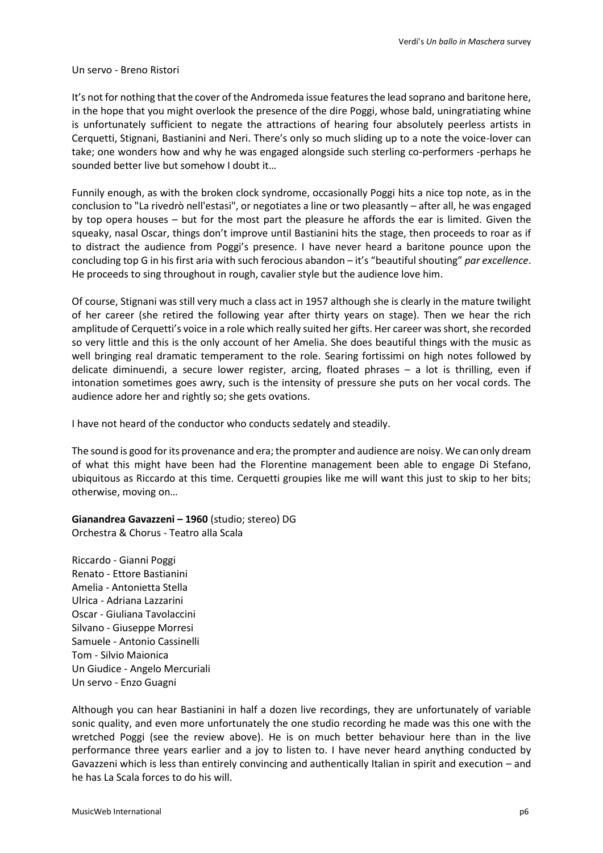#### Un servo - Breno Ristori

It's not for nothing that the cover of the Andromeda issue features the lead soprano and baritone here, in the hope that you might overlook the presence of the dire Poggi, whose bald, uningratiating whine is unfortunately sufficient to negate the attractions of hearing four absolutely peerless artists in Cerquetti, Stignani, Bastianini and Neri. There's only so much sliding up to a note the voice-lover can take; one wonders how and why he was engaged alongside such sterling co-performers -perhaps he sounded better live but somehow I doubt it…

Funnily enough, as with the broken clock syndrome, occasionally Poggi hits a nice top note, as in the conclusion to "La rivedrò nell'estasi", or negotiates a line or two pleasantly – after all, he was engaged by top opera houses – but for the most part the pleasure he affords the ear is limited. Given the squeaky, nasal Oscar, things don't improve until Bastianini hits the stage, then proceeds to roar as if to distract the audience from Poggi's presence. I have never heard a baritone pounce upon the concluding top G in his first aria with such ferocious abandon – it's "beautiful shouting" *par excellence*. He proceeds to sing throughout in rough, cavalier style but the audience love him.

Of course, Stignani was still very much a class act in 1957 although she is clearly in the mature twilight of her career (she retired the following year after thirty years on stage). Then we hear the rich amplitude of Cerquetti's voice in a role which really suited her gifts. Her career was short, she recorded so very little and this is the only account of her Amelia. She does beautiful things with the music as well bringing real dramatic temperament to the role. Searing fortissimi on high notes followed by delicate diminuendi, a secure lower register, arcing, floated phrases – a lot is thrilling, even if intonation sometimes goes awry, such is the intensity of pressure she puts on her vocal cords. The audience adore her and rightly so; she gets ovations.

I have not heard of the conductor who conducts sedately and steadily.

The sound is good for its provenance and era; the prompter and audience are noisy. We can only dream of what this might have been had the Florentine management been able to engage Di Stefano, ubiquitous as Riccardo at this time. Cerquetti groupies like me will want this just to skip to her bits; otherwise, moving on…

**Gianandrea Gavazzeni – 1960** (studio; stereo) DG Orchestra & Chorus - Teatro alla Scala

Riccardo - Gianni Poggi Renato - Ettore Bastianini Amelia - Antonietta Stella Ulrica - Adriana Lazzarini Oscar - Giuliana Tavolaccini Silvano - Giuseppe Morresi Samuele - Antonio Cassinelli Tom - Silvio Maionica Un Giudice - Angelo Mercuriali Un servo - Enzo Guagni

Although you can hear Bastianini in half a dozen live recordings, they are unfortunately of variable sonic quality, and even more unfortunately the one studio recording he made was this one with the wretched Poggi (see the review above). He is on much better behaviour here than in the live performance three years earlier and a joy to listen to. I have never heard anything conducted by Gavazzeni which is less than entirely convincing and authentically Italian in spirit and execution – and he has La Scala forces to do his will.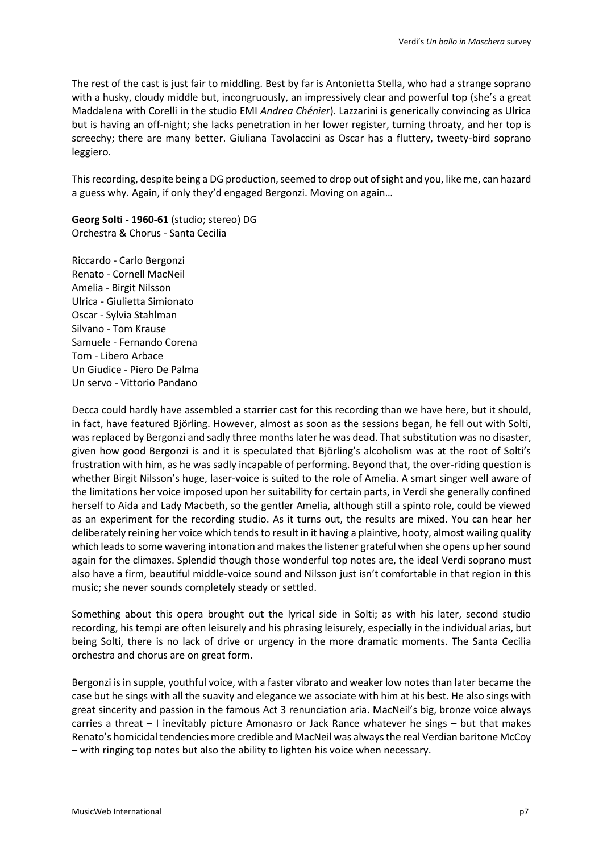The rest of the cast is just fair to middling. Best by far is Antonietta Stella, who had a strange soprano with a husky, cloudy middle but, incongruously, an impressively clear and powerful top (she's a great Maddalena with Corelli in the studio EMI *Andrea Chénier*). Lazzarini is generically convincing as Ulrica but is having an off-night; she lacks penetration in her lower register, turning throaty, and her top is screechy; there are many better. Giuliana Tavolaccini as Oscar has a fluttery, tweety-bird soprano leggiero.

This recording, despite being a DG production, seemed to drop out of sight and you, like me, can hazard a guess why. Again, if only they'd engaged Bergonzi. Moving on again…

**Georg Solti - 1960-61** (studio; stereo) DG Orchestra & Chorus - Santa Cecilia

Riccardo - Carlo Bergonzi Renato - Cornell MacNeil Amelia - Birgit Nilsson Ulrica - Giulietta Simionato Oscar - Sylvia Stahlman Silvano - Tom Krause Samuele - Fernando Corena Tom - Libero Arbace Un Giudice - Piero De Palma Un servo - Vittorio Pandano

Decca could hardly have assembled a starrier cast for this recording than we have here, but it should, in fact, have featured Björling. However, almost as soon as the sessions began, he fell out with Solti, was replaced by Bergonzi and sadly three months later he was dead. That substitution was no disaster, given how good Bergonzi is and it is speculated that Björling's alcoholism was at the root of Solti's frustration with him, as he was sadly incapable of performing. Beyond that, the over-riding question is whether Birgit Nilsson's huge, laser-voice is suited to the role of Amelia. A smart singer well aware of the limitations her voice imposed upon her suitability for certain parts, in Verdi she generally confined herself to Aida and Lady Macbeth, so the gentler Amelia, although still a spinto role, could be viewed as an experiment for the recording studio. As it turns out, the results are mixed. You can hear her deliberately reining her voice which tends to result in it having a plaintive, hooty, almost wailing quality which leads to some wavering intonation and makes the listener grateful when she opens up her sound again for the climaxes. Splendid though those wonderful top notes are, the ideal Verdi soprano must also have a firm, beautiful middle-voice sound and Nilsson just isn't comfortable in that region in this music; she never sounds completely steady or settled.

Something about this opera brought out the lyrical side in Solti; as with his later, second studio recording, his tempi are often leisurely and his phrasing leisurely, especially in the individual arias, but being Solti, there is no lack of drive or urgency in the more dramatic moments. The Santa Cecilia orchestra and chorus are on great form.

Bergonzi is in supple, youthful voice, with a faster vibrato and weaker low notes than later became the case but he sings with all the suavity and elegance we associate with him at his best. He also sings with great sincerity and passion in the famous Act 3 renunciation aria. MacNeil's big, bronze voice always carries a threat – I inevitably picture Amonasro or Jack Rance whatever he sings – but that makes Renato's homicidal tendencies more credible and MacNeil was always the real Verdian baritone McCoy – with ringing top notes but also the ability to lighten his voice when necessary.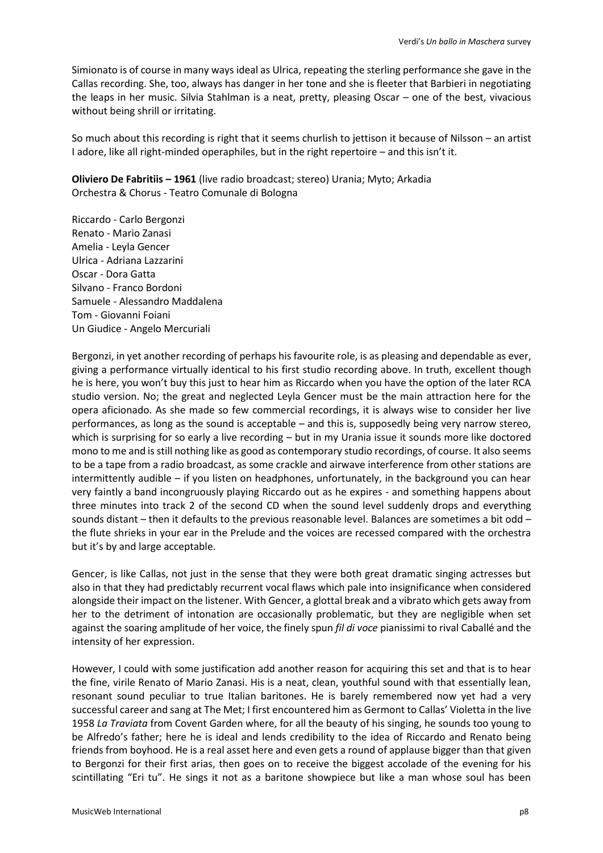Simionato is of course in many ways ideal as Ulrica, repeating the sterling performance she gave in the Callas recording. She, too, always has danger in her tone and she is fleeter that Barbieri in negotiating the leaps in her music. Silvia Stahlman is a neat, pretty, pleasing Oscar – one of the best, vivacious without being shrill or irritating.

So much about this recording is right that it seems churlish to jettison it because of Nilsson – an artist I adore, like all right-minded operaphiles, but in the right repertoire – and this isn't it.

**Oliviero De Fabritiis – 1961** (live radio broadcast; stereo) Urania; Myto; Arkadia Orchestra & Chorus - Teatro Comunale di Bologna

Riccardo - Carlo Bergonzi Renato - Mario Zanasi Amelia - Leyla Gencer Ulrica - Adriana Lazzarini Oscar - Dora Gatta Silvano - Franco Bordoni Samuele - Alessandro Maddalena Tom - Giovanni Foiani Un Giudice - Angelo Mercuriali

Bergonzi, in yet another recording of perhaps his favourite role, is as pleasing and dependable as ever, giving a performance virtually identical to his first studio recording above. In truth, excellent though he is here, you won't buy this just to hear him as Riccardo when you have the option of the later RCA studio version. No; the great and neglected Leyla Gencer must be the main attraction here for the opera aficionado. As she made so few commercial recordings, it is always wise to consider her live performances, as long as the sound is acceptable – and this is, supposedly being very narrow stereo, which is surprising for so early a live recording – but in my Urania issue it sounds more like doctored mono to me and is still nothing like as good as contemporary studio recordings, of course. It also seems to be a tape from a radio broadcast, as some crackle and airwave interference from other stations are intermittently audible – if you listen on headphones, unfortunately, in the background you can hear very faintly a band incongruously playing Riccardo out as he expires - and something happens about three minutes into track 2 of the second CD when the sound level suddenly drops and everything sounds distant – then it defaults to the previous reasonable level. Balances are sometimes a bit odd – the flute shrieks in your ear in the Prelude and the voices are recessed compared with the orchestra but it's by and large acceptable.

Gencer, is like Callas, not just in the sense that they were both great dramatic singing actresses but also in that they had predictably recurrent vocal flaws which pale into insignificance when considered alongside their impact on the listener. With Gencer, a glottal break and a vibrato which gets away from her to the detriment of intonation are occasionally problematic, but they are negligible when set against the soaring amplitude of her voice, the finely spun *fil di voce* pianissimi to rival Caballé and the intensity of her expression.

However, I could with some justification add another reason for acquiring this set and that is to hear the fine, virile Renato of Mario Zanasi. His is a neat, clean, youthful sound with that essentially lean, resonant sound peculiar to true Italian baritones. He is barely remembered now yet had a very successful career and sang at The Met; I first encountered him as Germont to Callas' Violetta in the live 1958 *La Traviata* from Covent Garden where, for all the beauty of his singing, he sounds too young to be Alfredo's father; here he is ideal and lends credibility to the idea of Riccardo and Renato being friends from boyhood. He is a real asset here and even gets a round of applause bigger than that given to Bergonzi for their first arias, then goes on to receive the biggest accolade of the evening for his scintillating "Eri tu". He sings it not as a baritone showpiece but like a man whose soul has been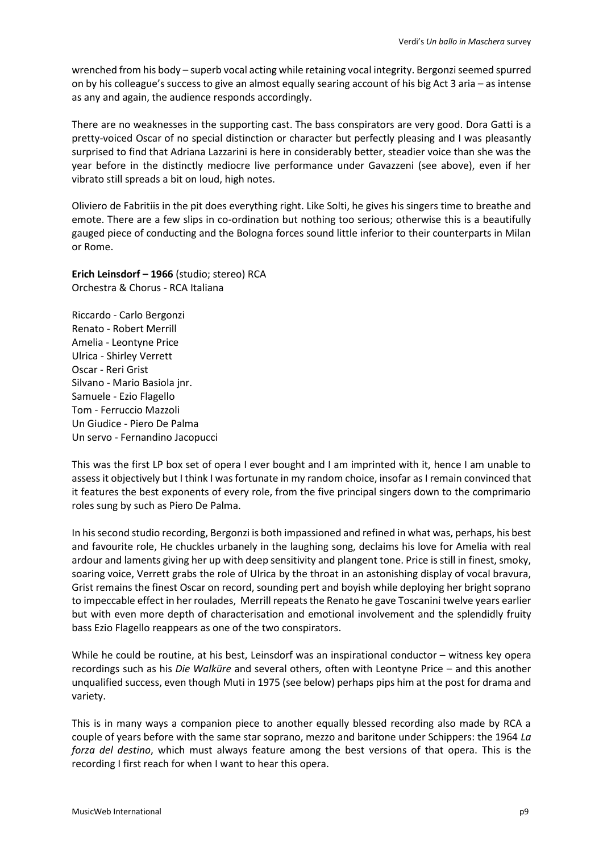wrenched from his body – superb vocal acting while retaining vocal integrity. Bergonzi seemed spurred on by his colleague's success to give an almost equally searing account of his big Act 3 aria – as intense as any and again, the audience responds accordingly.

There are no weaknesses in the supporting cast. The bass conspirators are very good. Dora Gatti is a pretty-voiced Oscar of no special distinction or character but perfectly pleasing and I was pleasantly surprised to find that Adriana Lazzarini is here in considerably better, steadier voice than she was the year before in the distinctly mediocre live performance under Gavazzeni (see above), even if her vibrato still spreads a bit on loud, high notes.

Oliviero de Fabritiis in the pit does everything right. Like Solti, he gives his singers time to breathe and emote. There are a few slips in co-ordination but nothing too serious; otherwise this is a beautifully gauged piece of conducting and the Bologna forces sound little inferior to their counterparts in Milan or Rome.

**Erich Leinsdorf – 1966** (studio; stereo) RCA Orchestra & Chorus - RCA Italiana

Riccardo - Carlo Bergonzi Renato - Robert Merrill Amelia - Leontyne Price Ulrica - Shirley Verrett Oscar - Reri Grist Silvano - Mario Basiola jnr. Samuele - Ezio Flagello Tom - Ferruccio Mazzoli Un Giudice - Piero De Palma Un servo - Fernandino Jacopucci

This was the first LP box set of opera I ever bought and I am imprinted with it, hence I am unable to assess it objectively but I think I was fortunate in my random choice, insofar as I remain convinced that it features the best exponents of every role, from the five principal singers down to the comprimario roles sung by such as Piero De Palma.

In his second studio recording, Bergonzi is both impassioned and refined in what was, perhaps, his best and favourite role, He chuckles urbanely in the laughing song, declaims his love for Amelia with real ardour and laments giving her up with deep sensitivity and plangent tone. Price is still in finest, smoky, soaring voice, Verrett grabs the role of Ulrica by the throat in an astonishing display of vocal bravura, Grist remains the finest Oscar on record, sounding pert and boyish while deploying her bright soprano to impeccable effect in her roulades, Merrill repeats the Renato he gave Toscanini twelve years earlier but with even more depth of characterisation and emotional involvement and the splendidly fruity bass Ezio Flagello reappears as one of the two conspirators.

While he could be routine, at his best, Leinsdorf was an inspirational conductor – witness key opera recordings such as his *Die Walküre* and several others, often with Leontyne Price – and this another unqualified success, even though Muti in 1975 (see below) perhaps pips him at the post for drama and variety.

This is in many ways a companion piece to another equally blessed recording also made by RCA a couple of years before with the same star soprano, mezzo and baritone under Schippers: the 1964 *La forza del destino*, which must always feature among the best versions of that opera. This is the recording I first reach for when I want to hear this opera.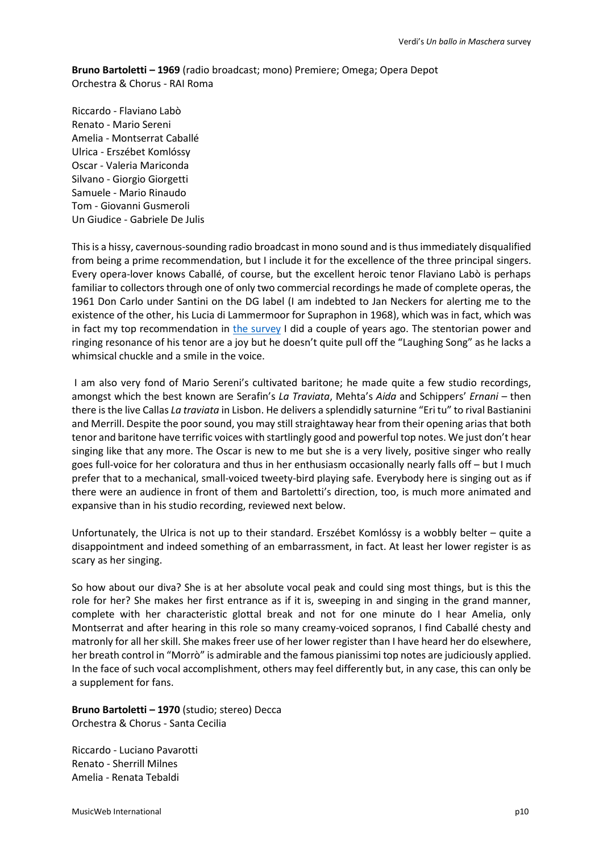**Bruno Bartoletti – 1969** (radio broadcast; mono) Premiere; Omega; Opera Depot Orchestra & Chorus - RAI Roma

Riccardo - Flaviano Labò Renato - Mario Sereni Amelia - Montserrat Caballé Ulrica - Erszébet Komlóssy Oscar - Valeria Mariconda Silvano - Giorgio Giorgetti Samuele - Mario Rinaudo Tom - Giovanni Gusmeroli Un Giudice - Gabriele De Julis

This is a hissy, cavernous-sounding radio broadcast in mono sound and is thus immediately disqualified from being a prime recommendation, but I include it for the excellence of the three principal singers. Every opera-lover knows Caballé, of course, but the excellent heroic tenor Flaviano Labò is perhaps familiar to collectors through one of only two commercial recordings he made of complete operas, the 1961 Don Carlo under Santini on the DG label (I am indebted to Jan Neckers for alerting me to the existence of the other, his Lucia di Lammermoor for Supraphon in 1968), which was in fact, which was in fact my top recommendation in [the survey](http://www.musicweb-international.com/classrev/2018/Jun/Verdi_Carlo_survey.pdf) I did a couple of years ago. The stentorian power and ringing resonance of his tenor are a joy but he doesn't quite pull off the "Laughing Song" as he lacks a whimsical chuckle and a smile in the voice.

I am also very fond of Mario Sereni's cultivated baritone; he made quite a few studio recordings, amongst which the best known are Serafin's *La Traviata*, Mehta's *Aida* and Schippers' *Ernani* – then there is the live Callas *La traviata* in Lisbon. He delivers a splendidly saturnine "Eri tu" to rival Bastianini and Merrill. Despite the poor sound, you may still straightaway hear from their opening arias that both tenor and baritone have terrific voices with startlingly good and powerful top notes. We just don't hear singing like that any more. The Oscar is new to me but she is a very lively, positive singer who really goes full-voice for her coloratura and thus in her enthusiasm occasionally nearly falls off – but I much prefer that to a mechanical, small-voiced tweety-bird playing safe. Everybody here is singing out as if there were an audience in front of them and Bartoletti's direction, too, is much more animated and expansive than in his studio recording, reviewed next below.

Unfortunately, the Ulrica is not up to their standard. Erszébet Komlóssy is a wobbly belter – quite a disappointment and indeed something of an embarrassment, in fact. At least her lower register is as scary as her singing.

So how about our diva? She is at her absolute vocal peak and could sing most things, but is this the role for her? She makes her first entrance as if it is, sweeping in and singing in the grand manner, complete with her characteristic glottal break and not for one minute do I hear Amelia, only Montserrat and after hearing in this role so many creamy-voiced sopranos, I find Caballé chesty and matronly for all her skill. She makes freer use of her lower register than I have heard her do elsewhere, her breath control in "Morrò" is admirable and the famous pianissimi top notes are judiciously applied. In the face of such vocal accomplishment, others may feel differently but, in any case, this can only be a supplement for fans.

**Bruno Bartoletti – 1970** (studio; stereo) Decca Orchestra & Chorus - Santa Cecilia

Riccardo - Luciano Pavarotti Renato - Sherrill Milnes Amelia - Renata Tebaldi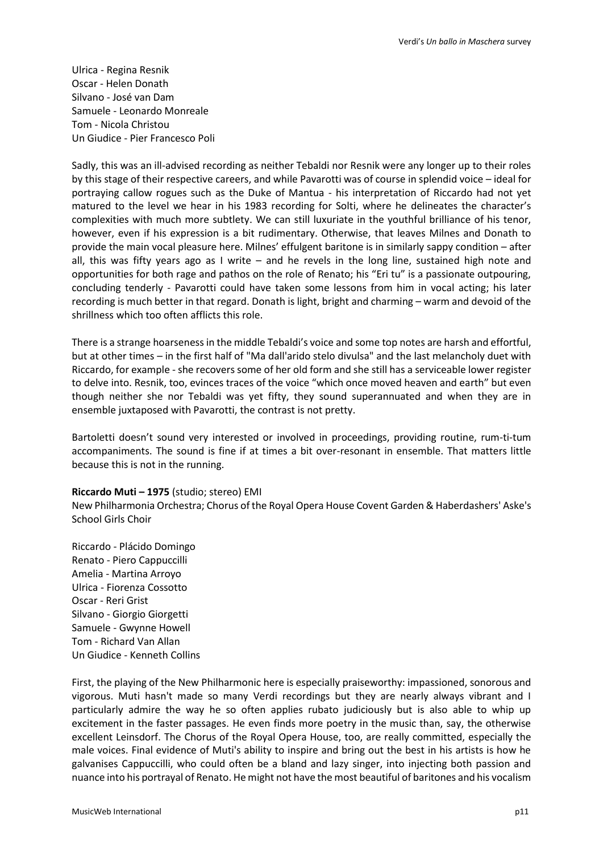Ulrica - Regina Resnik Oscar - Helen Donath Silvano - José van Dam Samuele - Leonardo Monreale Tom - Nicola Christou Un Giudice - Pier Francesco Poli

Sadly, this was an ill-advised recording as neither Tebaldi nor Resnik were any longer up to their roles by this stage of their respective careers, and while Pavarotti was of course in splendid voice – ideal for portraying callow rogues such as the Duke of Mantua - his interpretation of Riccardo had not yet matured to the level we hear in his 1983 recording for Solti, where he delineates the character's complexities with much more subtlety. We can still luxuriate in the youthful brilliance of his tenor, however, even if his expression is a bit rudimentary. Otherwise, that leaves Milnes and Donath to provide the main vocal pleasure here. Milnes' effulgent baritone is in similarly sappy condition – after all, this was fifty years ago as I write – and he revels in the long line, sustained high note and opportunities for both rage and pathos on the role of Renato; his "Eri tu" is a passionate outpouring, concluding tenderly - Pavarotti could have taken some lessons from him in vocal acting; his later recording is much better in that regard. Donath is light, bright and charming – warm and devoid of the shrillness which too often afflicts this role.

There is a strange hoarseness in the middle Tebaldi's voice and some top notes are harsh and effortful, but at other times – in the first half of "Ma dall'arido stelo divulsa" and the last melancholy duet with Riccardo, for example - she recovers some of her old form and she still has a serviceable lower register to delve into. Resnik, too, evinces traces of the voice "which once moved heaven and earth" but even though neither she nor Tebaldi was yet fifty, they sound superannuated and when they are in ensemble juxtaposed with Pavarotti, the contrast is not pretty.

Bartoletti doesn't sound very interested or involved in proceedings, providing routine, rum-ti-tum accompaniments. The sound is fine if at times a bit over-resonant in ensemble. That matters little because this is not in the running.

### **Riccardo Muti – 1975** (studio; stereo) EMI

New Philharmonia Orchestra; Chorus of the Royal Opera House Covent Garden & Haberdashers' Aske's School Girls Choir

Riccardo - Plácido Domingo Renato - Piero Cappuccilli Amelia - Martina Arroyo Ulrica - Fiorenza Cossotto Oscar - Reri Grist Silvano - Giorgio Giorgetti Samuele - Gwynne Howell Tom - Richard Van Allan Un Giudice - Kenneth Collins

First, the playing of the New Philharmonic here is especially praiseworthy: impassioned, sonorous and vigorous. Muti hasn't made so many Verdi recordings but they are nearly always vibrant and I particularly admire the way he so often applies rubato judiciously but is also able to whip up excitement in the faster passages. He even finds more poetry in the music than, say, the otherwise excellent Leinsdorf. The Chorus of the Royal Opera House, too, are really committed, especially the male voices. Final evidence of Muti's ability to inspire and bring out the best in his artists is how he galvanises Cappuccilli, who could often be a bland and lazy singer, into injecting both passion and nuance into his portrayal of Renato. He might not have the most beautiful of baritones and his vocalism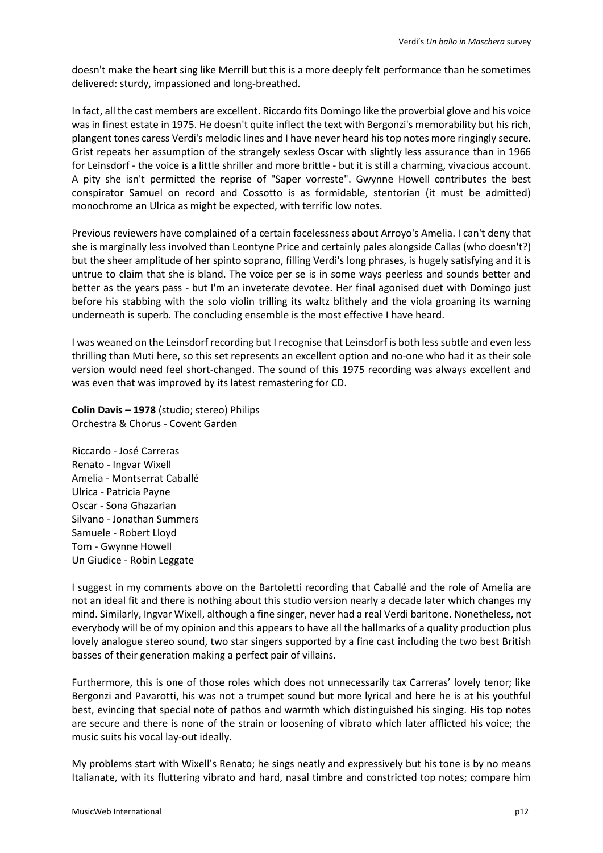doesn't make the heart sing like Merrill but this is a more deeply felt performance than he sometimes delivered: sturdy, impassioned and long-breathed.

In fact, all the cast members are excellent. Riccardo fits Domingo like the proverbial glove and his voice was in finest estate in 1975. He doesn't quite inflect the text with Bergonzi's memorability but his rich, plangent tones caress Verdi's melodic lines and I have never heard his top notes more ringingly secure. Grist repeats her assumption of the strangely sexless Oscar with slightly less assurance than in 1966 for Leinsdorf - the voice is a little shriller and more brittle - but it is still a charming, vivacious account. A pity she isn't permitted the reprise of "Saper vorreste". Gwynne Howell contributes the best conspirator Samuel on record and Cossotto is as formidable, stentorian (it must be admitted) monochrome an Ulrica as might be expected, with terrific low notes.

Previous reviewers have complained of a certain facelessness about Arroyo's Amelia. I can't deny that she is marginally less involved than Leontyne Price and certainly pales alongside Callas (who doesn't?) but the sheer amplitude of her spinto soprano, filling Verdi's long phrases, is hugely satisfying and it is untrue to claim that she is bland. The voice per se is in some ways peerless and sounds better and better as the years pass - but I'm an inveterate devotee. Her final agonised duet with Domingo just before his stabbing with the solo violin trilling its waltz blithely and the viola groaning its warning underneath is superb. The concluding ensemble is the most effective I have heard.

I was weaned on the Leinsdorf recording but I recognise that Leinsdorf is both less subtle and even less thrilling than Muti here, so this set represents an excellent option and no-one who had it as their sole version would need feel short-changed. The sound of this 1975 recording was always excellent and was even that was improved by its latest remastering for CD.

**Colin Davis – 1978** (studio; stereo) Philips Orchestra & Chorus - Covent Garden

Riccardo - José Carreras Renato - Ingvar Wixell Amelia - Montserrat Caballé Ulrica - Patricia Payne Oscar - Sona Ghazarian Silvano - Jonathan Summers Samuele - Robert Lloyd Tom - Gwynne Howell Un Giudice - Robin Leggate

I suggest in my comments above on the Bartoletti recording that Caballé and the role of Amelia are not an ideal fit and there is nothing about this studio version nearly a decade later which changes my mind. Similarly, Ingvar Wixell, although a fine singer, never had a real Verdi baritone. Nonetheless, not everybody will be of my opinion and this appears to have all the hallmarks of a quality production plus lovely analogue stereo sound, two star singers supported by a fine cast including the two best British basses of their generation making a perfect pair of villains.

Furthermore, this is one of those roles which does not unnecessarily tax Carreras' lovely tenor; like Bergonzi and Pavarotti, his was not a trumpet sound but more lyrical and here he is at his youthful best, evincing that special note of pathos and warmth which distinguished his singing. His top notes are secure and there is none of the strain or loosening of vibrato which later afflicted his voice; the music suits his vocal lay-out ideally.

My problems start with Wixell's Renato; he sings neatly and expressively but his tone is by no means Italianate, with its fluttering vibrato and hard, nasal timbre and constricted top notes; compare him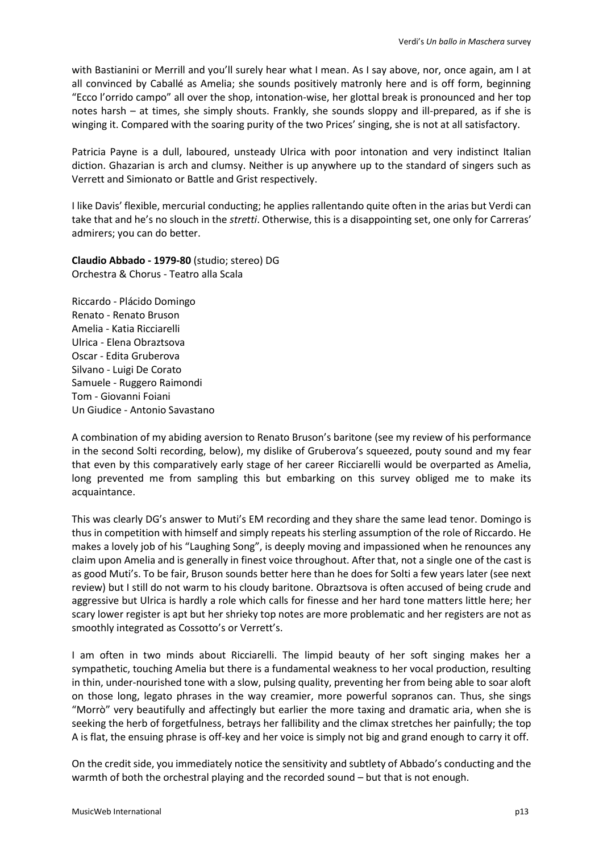with Bastianini or Merrill and you'll surely hear what I mean. As I say above, nor, once again, am I at all convinced by Caballé as Amelia; she sounds positively matronly here and is off form, beginning "Ecco l'orrido campo" all over the shop, intonation-wise, her glottal break is pronounced and her top notes harsh – at times, she simply shouts. Frankly, she sounds sloppy and ill-prepared, as if she is winging it. Compared with the soaring purity of the two Prices' singing, she is not at all satisfactory.

Patricia Payne is a dull, laboured, unsteady Ulrica with poor intonation and very indistinct Italian diction. Ghazarian is arch and clumsy. Neither is up anywhere up to the standard of singers such as Verrett and Simionato or Battle and Grist respectively.

I like Davis' flexible, mercurial conducting; he applies rallentando quite often in the arias but Verdi can take that and he's no slouch in the *stretti*. Otherwise, this is a disappointing set, one only for Carreras' admirers; you can do better.

**Claudio Abbado - 1979-80** (studio; stereo) DG Orchestra & Chorus - Teatro alla Scala

Riccardo - Plácido Domingo Renato - Renato Bruson Amelia - Katia Ricciarelli Ulrica - Elena Obraztsova Oscar - Edita Gruberova Silvano - Luigi De Corato Samuele - Ruggero Raimondi Tom - Giovanni Foiani Un Giudice - Antonio Savastano

A combination of my abiding aversion to Renato Bruson's baritone (see my review of his performance in the second Solti recording, below), my dislike of Gruberova's squeezed, pouty sound and my fear that even by this comparatively early stage of her career Ricciarelli would be overparted as Amelia, long prevented me from sampling this but embarking on this survey obliged me to make its acquaintance.

This was clearly DG's answer to Muti's EM recording and they share the same lead tenor. Domingo is thus in competition with himself and simply repeats his sterling assumption of the role of Riccardo. He makes a lovely job of his "Laughing Song", is deeply moving and impassioned when he renounces any claim upon Amelia and is generally in finest voice throughout. After that, not a single one of the cast is as good Muti's. To be fair, Bruson sounds better here than he does for Solti a few years later (see next review) but I still do not warm to his cloudy baritone. Obraztsova is often accused of being crude and aggressive but Ulrica is hardly a role which calls for finesse and her hard tone matters little here; her scary lower register is apt but her shrieky top notes are more problematic and her registers are not as smoothly integrated as Cossotto's or Verrett's.

I am often in two minds about Ricciarelli. The limpid beauty of her soft singing makes her a sympathetic, touching Amelia but there is a fundamental weakness to her vocal production, resulting in thin, under-nourished tone with a slow, pulsing quality, preventing her from being able to soar aloft on those long, legato phrases in the way creamier, more powerful sopranos can. Thus, she sings "Morrò" very beautifully and affectingly but earlier the more taxing and dramatic aria, when she is seeking the herb of forgetfulness, betrays her fallibility and the climax stretches her painfully; the top A is flat, the ensuing phrase is off-key and her voice is simply not big and grand enough to carry it off.

On the credit side, you immediately notice the sensitivity and subtlety of Abbado's conducting and the warmth of both the orchestral playing and the recorded sound – but that is not enough.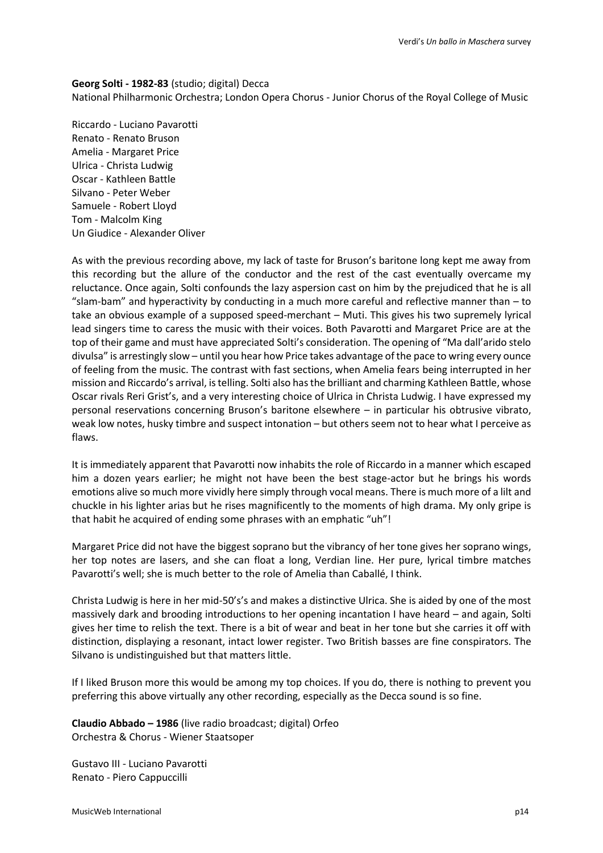#### **Georg Solti - 1982-83** (studio; digital) Decca

National Philharmonic Orchestra; London Opera Chorus - Junior Chorus of the Royal College of Music

Riccardo - Luciano Pavarotti Renato - Renato Bruson Amelia - Margaret Price Ulrica - Christa Ludwig Oscar - Kathleen Battle Silvano - Peter Weber Samuele - Robert Lloyd Tom - Malcolm King Un Giudice - Alexander Oliver

As with the previous recording above, my lack of taste for Bruson's baritone long kept me away from this recording but the allure of the conductor and the rest of the cast eventually overcame my reluctance. Once again, Solti confounds the lazy aspersion cast on him by the prejudiced that he is all "slam-bam" and hyperactivity by conducting in a much more careful and reflective manner than – to take an obvious example of a supposed speed-merchant – Muti. This gives his two supremely lyrical lead singers time to caress the music with their voices. Both Pavarotti and Margaret Price are at the top of their game and must have appreciated Solti's consideration. The opening of "Ma dall'arido stelo divulsa" is arrestingly slow – until you hear how Price takes advantage of the pace to wring every ounce of feeling from the music. The contrast with fast sections, when Amelia fears being interrupted in her mission and Riccardo's arrival, is telling. Solti also has the brilliant and charming Kathleen Battle, whose Oscar rivals Reri Grist's, and a very interesting choice of Ulrica in Christa Ludwig. I have expressed my personal reservations concerning Bruson's baritone elsewhere – in particular his obtrusive vibrato, weak low notes, husky timbre and suspect intonation – but others seem not to hear what I perceive as flaws.

It is immediately apparent that Pavarotti now inhabits the role of Riccardo in a manner which escaped him a dozen years earlier; he might not have been the best stage-actor but he brings his words emotions alive so much more vividly here simply through vocal means. There is much more of a lilt and chuckle in his lighter arias but he rises magnificently to the moments of high drama. My only gripe is that habit he acquired of ending some phrases with an emphatic "uh"!

Margaret Price did not have the biggest soprano but the vibrancy of her tone gives her soprano wings, her top notes are lasers, and she can float a long, Verdian line. Her pure, lyrical timbre matches Pavarotti's well; she is much better to the role of Amelia than Caballé, I think.

Christa Ludwig is here in her mid-50's's and makes a distinctive Ulrica. She is aided by one of the most massively dark and brooding introductions to her opening incantation I have heard – and again, Solti gives her time to relish the text. There is a bit of wear and beat in her tone but she carries it off with distinction, displaying a resonant, intact lower register. Two British basses are fine conspirators. The Silvano is undistinguished but that matters little.

If I liked Bruson more this would be among my top choices. If you do, there is nothing to prevent you preferring this above virtually any other recording, especially as the Decca sound is so fine.

**Claudio Abbado – 1986** (live radio broadcast; digital) Orfeo Orchestra & Chorus - Wiener Staatsoper

Gustavo III - Luciano Pavarotti Renato - Piero Cappuccilli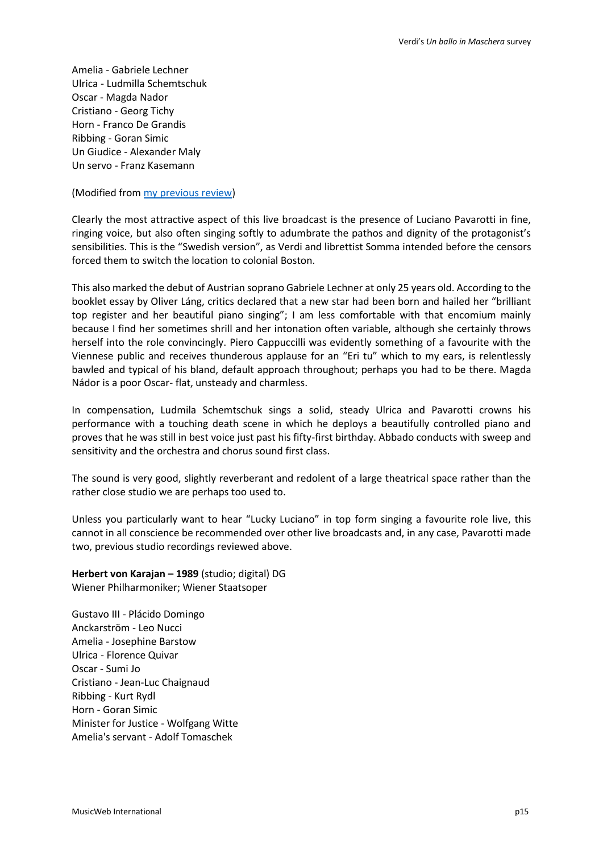Amelia - Gabriele Lechner Ulrica - Ludmilla Schemtschuk Oscar - Magda Nador Cristiano - Georg Tichy Horn - Franco De Grandis Ribbing - Goran Simic Un Giudice - Alexander Maly Un servo - Franz Kasemann

(Modified fro[m my previous review\)](http://www.musicweb-international.com/classrev/2016/May/Verdi_ballo_C907162I.htm)

Clearly the most attractive aspect of this live broadcast is the presence of Luciano Pavarotti in fine, ringing voice, but also often singing softly to adumbrate the pathos and dignity of the protagonist's sensibilities. This is the "Swedish version", as Verdi and librettist Somma intended before the censors forced them to switch the location to colonial Boston.

This also marked the debut of Austrian soprano Gabriele Lechner at only 25 years old. According to the booklet essay by Oliver Láng, critics declared that a new star had been born and hailed her "brilliant top register and her beautiful piano singing"; I am less comfortable with that encomium mainly because I find her sometimes shrill and her intonation often variable, although she certainly throws herself into the role convincingly. Piero Cappuccilli was evidently something of a favourite with the Viennese public and receives thunderous applause for an "Eri tu" which to my ears, is relentlessly bawled and typical of his bland, default approach throughout; perhaps you had to be there. Magda Nádor is a poor Oscar- flat, unsteady and charmless.

In compensation, Ludmila Schemtschuk sings a solid, steady Ulrica and Pavarotti crowns his performance with a touching death scene in which he deploys a beautifully controlled piano and proves that he was still in best voice just past his fifty-first birthday. Abbado conducts with sweep and sensitivity and the orchestra and chorus sound first class.

The sound is very good, slightly reverberant and redolent of a large theatrical space rather than the rather close studio we are perhaps too used to.

Unless you particularly want to hear "Lucky Luciano" in top form singing a favourite role live, this cannot in all conscience be recommended over other live broadcasts and, in any case, Pavarotti made two, previous studio recordings reviewed above.

**Herbert von Karajan – 1989** (studio; digital) DG Wiener Philharmoniker; Wiener Staatsoper

Gustavo III - Plácido Domingo Anckarström - Leo Nucci Amelia - Josephine Barstow Ulrica - Florence Quivar Oscar - Sumi Jo Cristiano - Jean-Luc Chaignaud Ribbing - Kurt Rydl Horn - Goran Simic Minister for Justice - Wolfgang Witte Amelia's servant - Adolf Tomaschek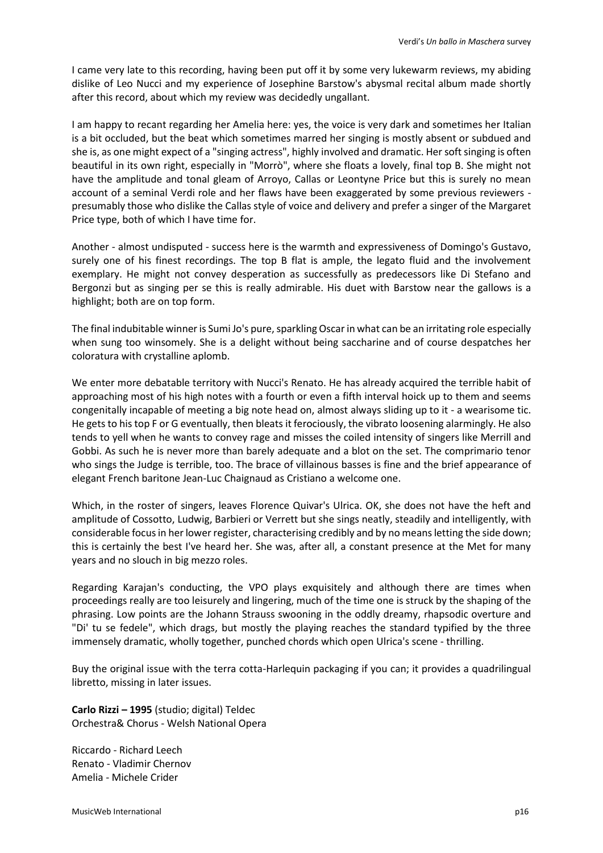I came very late to this recording, having been put off it by some very lukewarm reviews, my abiding dislike of Leo Nucci and my experience of Josephine Barstow's abysmal recital album made shortly after this record, about which my review was decidedly ungallant.

I am happy to recant regarding her Amelia here: yes, the voice is very dark and sometimes her Italian is a bit occluded, but the beat which sometimes marred her singing is mostly absent or subdued and she is, as one might expect of a "singing actress", highly involved and dramatic. Her soft singing is often beautiful in its own right, especially in "Morrò", where she floats a lovely, final top B. She might not have the amplitude and tonal gleam of Arroyo, Callas or Leontyne Price but this is surely no mean account of a seminal Verdi role and her flaws have been exaggerated by some previous reviewers presumably those who dislike the Callas style of voice and delivery and prefer a singer of the Margaret Price type, both of which I have time for.

Another - almost undisputed - success here is the warmth and expressiveness of Domingo's Gustavo, surely one of his finest recordings. The top B flat is ample, the legato fluid and the involvement exemplary. He might not convey desperation as successfully as predecessors like Di Stefano and Bergonzi but as singing per se this is really admirable. His duet with Barstow near the gallows is a highlight; both are on top form.

The final indubitable winner is Sumi Jo's pure, sparkling Oscar in what can be an irritating role especially when sung too winsomely. She is a delight without being saccharine and of course despatches her coloratura with crystalline aplomb.

We enter more debatable territory with Nucci's Renato. He has already acquired the terrible habit of approaching most of his high notes with a fourth or even a fifth interval hoick up to them and seems congenitally incapable of meeting a big note head on, almost always sliding up to it - a wearisome tic. He gets to his top F or G eventually, then bleats it ferociously, the vibrato loosening alarmingly. He also tends to yell when he wants to convey rage and misses the coiled intensity of singers like Merrill and Gobbi. As such he is never more than barely adequate and a blot on the set. The comprimario tenor who sings the Judge is terrible, too. The brace of villainous basses is fine and the brief appearance of elegant French baritone Jean-Luc Chaignaud as Cristiano a welcome one.

Which, in the roster of singers, leaves Florence Quivar's Ulrica. OK, she does not have the heft and amplitude of Cossotto, Ludwig, Barbieri or Verrett but she sings neatly, steadily and intelligently, with considerable focus in her lower register, characterising credibly and by no means letting the side down; this is certainly the best I've heard her. She was, after all, a constant presence at the Met for many years and no slouch in big mezzo roles.

Regarding Karajan's conducting, the VPO plays exquisitely and although there are times when proceedings really are too leisurely and lingering, much of the time one is struck by the shaping of the phrasing. Low points are the Johann Strauss swooning in the oddly dreamy, rhapsodic overture and "Di' tu se fedele", which drags, but mostly the playing reaches the standard typified by the three immensely dramatic, wholly together, punched chords which open Ulrica's scene - thrilling.

Buy the original issue with the terra cotta-Harlequin packaging if you can; it provides a quadrilingual libretto, missing in later issues.

**Carlo Rizzi – 1995** (studio; digital) Teldec Orchestra& Chorus - Welsh National Opera

Riccardo - Richard Leech Renato - Vladimir Chernov Amelia - Michele Crider